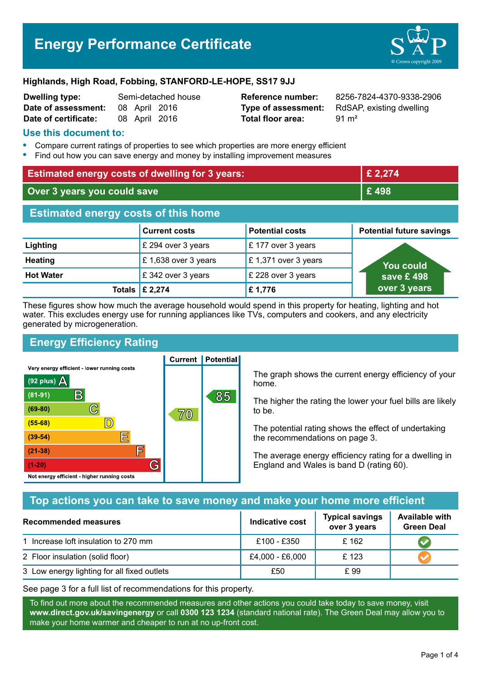# **Energy Performance Certificate**



#### **Highlands, High Road, Fobbing, STANFORD-LE-HOPE, SS17 9JJ**

| <b>Dwelling type:</b> | Semi-detached hous |               |  |
|-----------------------|--------------------|---------------|--|
| Date of assessment:   |                    | 08 April 2016 |  |
| Date of certificate:  |                    | 08 April 2016 |  |

# **Total floor area:** 91 m<sup>2</sup>

**Dwelling type:** Semi-detached house **Reference number:** 8256-7824-4370-9338-2906 **Type of assessment:** RdSAP, existing dwelling

#### **Use this document to:**

- **•** Compare current ratings of properties to see which properties are more energy efficient
- **•** Find out how you can save energy and money by installing improvement measures

| <b>Estimated energy costs of dwelling for 3 years:</b> |                           |                        | £ 2,274                         |  |
|--------------------------------------------------------|---------------------------|------------------------|---------------------------------|--|
| Over 3 years you could save                            |                           |                        | £498                            |  |
| <b>Estimated energy costs of this home</b>             |                           |                        |                                 |  |
|                                                        | <b>Current costs</b>      | <b>Potential costs</b> | <b>Potential future savings</b> |  |
| Lighting                                               | £ 294 over 3 years        | $E$ 177 over 3 years   |                                 |  |
| <b>Heating</b>                                         | £1,638 over 3 years       | £1,371 over 3 years    | You could                       |  |
| <b>Hot Water</b>                                       | save £498                 |                        |                                 |  |
|                                                        | Totals $\mathsf{E}$ 2,274 | £1,776                 | over 3 years                    |  |

These figures show how much the average household would spend in this property for heating, lighting and hot water. This excludes energy use for running appliances like TVs, computers and cookers, and any electricity generated by microgeneration.

**Current | Potential** 

### **Energy Efficiency Rating**

Very energy efficient - lower running costs



The graph shows the current energy efficiency of your home.

The higher the rating the lower your fuel bills are likely to be.

The potential rating shows the effect of undertaking the recommendations on page 3.

The average energy efficiency rating for a dwelling in England and Wales is band D (rating 60).

#### **Top actions you can take to save money and make your home more efficient**

| Recommended measures                        | Indicative cost | <b>Typical savings</b><br>over 3 years | <b>Available with</b><br><b>Green Deal</b> |  |
|---------------------------------------------|-----------------|----------------------------------------|--------------------------------------------|--|
| 1 Increase loft insulation to 270 mm        | £100 - £350     | £162                                   |                                            |  |
| 2 Floor insulation (solid floor)            | £4,000 - £6,000 | £123                                   |                                            |  |
| 3 Low energy lighting for all fixed outlets | £50             | £ 99                                   |                                            |  |

See page 3 for a full list of recommendations for this property.

To find out more about the recommended measures and other actions you could take today to save money, visit **www.direct.gov.uk/savingenergy** or call **0300 123 1234** (standard national rate). The Green Deal may allow you to make your home warmer and cheaper to run at no up-front cost.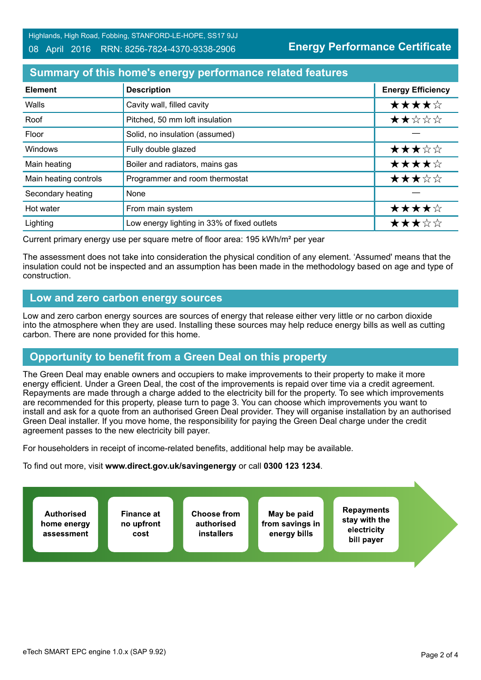**Energy Performance Certificate**

#### **Summary of this home's energy performance related features**

| <b>Element</b>        | <b>Description</b>                          | <b>Energy Efficiency</b> |
|-----------------------|---------------------------------------------|--------------------------|
| Walls                 | Cavity wall, filled cavity                  | ★★★★☆                    |
| Roof                  | Pitched, 50 mm loft insulation              | ★★☆☆☆                    |
| Floor                 | Solid, no insulation (assumed)              |                          |
| Windows               | Fully double glazed                         | ★★★☆☆                    |
| Main heating          | Boiler and radiators, mains gas             | ★★★★☆                    |
| Main heating controls | Programmer and room thermostat              | ★★★☆☆                    |
| Secondary heating     | None                                        |                          |
| Hot water             | From main system                            | ★★★★☆                    |
| Lighting              | Low energy lighting in 33% of fixed outlets | ★★★☆☆                    |

Current primary energy use per square metre of floor area: 195 kWh/m² per year

The assessment does not take into consideration the physical condition of any element. 'Assumed' means that the insulation could not be inspected and an assumption has been made in the methodology based on age and type of construction.

#### **Low and zero carbon energy sources**

Low and zero carbon energy sources are sources of energy that release either very little or no carbon dioxide into the atmosphere when they are used. Installing these sources may help reduce energy bills as well as cutting carbon. There are none provided for this home.

## **Opportunity to benefit from a Green Deal on this property**

The Green Deal may enable owners and occupiers to make improvements to their property to make it more energy efficient. Under a Green Deal, the cost of the improvements is repaid over time via a credit agreement. Repayments are made through a charge added to the electricity bill for the property. To see which improvements are recommended for this property, please turn to page 3. You can choose which improvements you want to install and ask for a quote from an authorised Green Deal provider. They will organise installation by an authorised Green Deal installer. If you move home, the responsibility for paying the Green Deal charge under the credit agreement passes to the new electricity bill payer.

For householders in receipt of income-related benefits, additional help may be available.

To find out more, visit **www.direct.gov.uk/savingenergy** or call **0300 123 1234**.

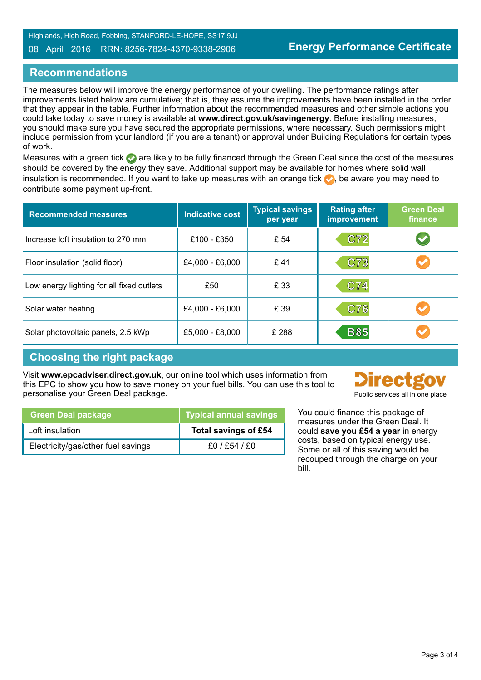#### 08 April 2016 RRN: 8256-7824-4370-9338-2906

#### **Recommendations**

The measures below will improve the energy performance of your dwelling. The performance ratings after improvements listed below are cumulative; that is, they assume the improvements have been installed in the order that they appear in the table. Further information about the recommended measures and other simple actions you could take today to save money is available at **www.direct.gov.uk/savingenergy**. Before installing measures, you should make sure you have secured the appropriate permissions, where necessary. Such permissions might include permission from your landlord (if you are a tenant) or approval under Building Regulations for certain types of work.

Measures with a green tick are likely to be fully financed through the Green Deal since the cost of the measures should be covered by the energy they save. Additional support may be available for homes where solid wall insulation is recommended. If you want to take up measures with an orange tick  $\bullet$ , be aware you may need to contribute some payment up-front.

| <b>Recommended measures</b>               | <b>Indicative cost</b> | <b>Typical savings</b><br>per year | <b>Rating after</b><br>improvement | <b>Green Deal</b><br>finance |
|-------------------------------------------|------------------------|------------------------------------|------------------------------------|------------------------------|
| Increase loft insulation to 270 mm        | £100 - £350            | £ 54                               | C72                                |                              |
| Floor insulation (solid floor)            | £4,000 - £6,000        | £41                                | C73                                |                              |
| Low energy lighting for all fixed outlets | £50                    | £ 33                               | C74                                |                              |
| Solar water heating                       | £4,000 - £6,000        | £ 39                               | C76                                |                              |
| Solar photovoltaic panels, 2.5 kWp        | £5,000 - £8,000        | £ 288                              | <b>B85</b>                         |                              |

#### **Choosing the right package**

Visit **www.epcadviser.direct.gov.uk**, our online tool which uses information from this EPC to show you how to save money on your fuel bills. You can use this tool to personalise your Green Deal package.



|  | <b>I</b> abiic sei vices all in one place |  |  |  |
|--|-------------------------------------------|--|--|--|
|  |                                           |  |  |  |
|  |                                           |  |  |  |

You could finance this package of measures under the Green Deal. It could **save you £54 a year** in energy costs, based on typical energy use. Some or all of this saving would be recouped through the charge on your bill.

| <b>Green Deal package</b>          | <b>Typical annual savings</b> |
|------------------------------------|-------------------------------|
| Loft insulation                    | Total savings of £54          |
| Electricity/gas/other fuel savings | £0/£54/£0                     |